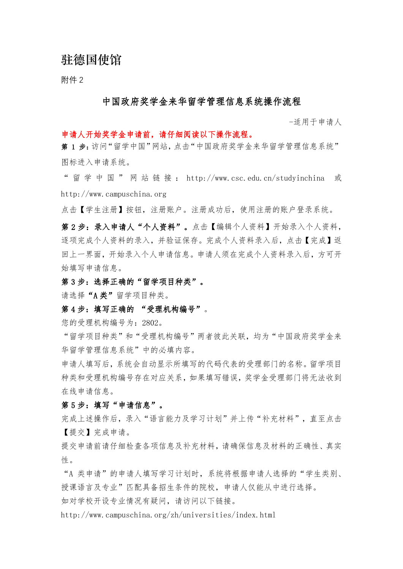# 驻德国使馆

附件 2

#### 中国政府奖学金来华留学管理信息系统操作流程

-适用于申请人

#### 申请人开始奖学金申请前,请仔细阅读以下操作流程。

第 1 步:访问"留学中国"网站,点击"中国政府奖学金来华留学管理信息系统" 图标进入申请系统。

" 留 学 中 国 " 网 站 链 接 : http://www.csc.edu.cn/studyinchina 或 http://www.campuschina.org

点击【学生注册】按钮,注册账户。注册成功后,使用注册的账户登录系统。

第2步: 录入申请人"个人资料"。点击【编辑个人资料】开始录入个人资料, 逐项完成个人资料的录入,并验证保存。完成个人资料录入后,点击【完成】返 回上一界面,开始录入个人申请信息。申请人须在完成个人资料录入后,方可开 始填写申请信息。

第3步:选择正确的"留学项目种类"。

请选择"A 类"留学项目种类。

第4步:填写正确的 "受理机构编号"。

您的受理机构编号为:2802。

"留学项目种类"和"受理机构编号"两者彼此关联,均为"中国政府奖学金来 华留学管理信息系统"中的必填内容。

申请人填写后,系统会自动显示所填写的代码代表的受理部门的名称。留学项目 种类和受理机构编号存在对应关系,如果填写错误,奖学金受理部门将无法收到 在线申请信息。

### 第 5 步: 填写"申请信息"。

宗成上述操作后,录入"语言能力及学习计划"并上传"补充材料",直至点击 【提交】完成申请。

提交申请前请仔细检查各项信息及补充材料,请确保信息及材料的正确性、真实 性。

"A 类申请"的申请人填写学习计划时,系统将根据申请人选择的"学生类别、 授课语言及专业"匹配具备招生条件的院校,申请人仅能从中进行选择。 如对学校开设专业情况有疑问,请访问以下链接。

http://www.campuschina.org/zh/universities/index.html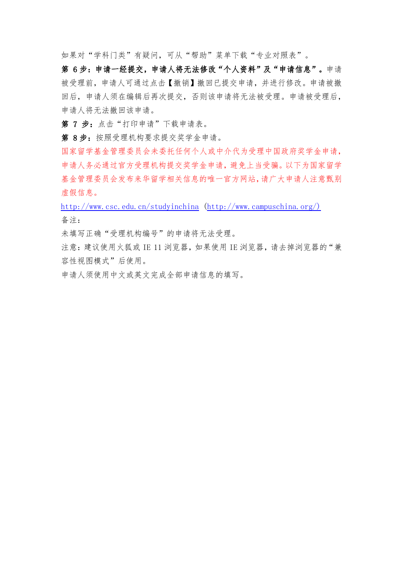如果对"学科门类"有疑问,可从"帮助"菜单下载"专业对照表"。

第 6步: 申请一经提交, 申请人将无法修改"个人资料"及"申请信息"。申请 被受理前,申请人可通过点击【撤销】撤回已提交申请,并进行修改。申请被撤 回后,申请人须在编辑后再次提交,否则该申请将无法被受理。申请被受理后, 申请人将无法撤回该申请。

第 7 步: 点击"打印申请"下载申请表。

第 8步: 按照受理机构要求提交奖学金申请。

国家留学基金管理委员会未委托任何个人或中介代为受理中国政府奖学金申请, 申请人务必通过官方受理机构提交奖学金申请,避免上当受骗。以下为国家留学 基金管理委员会发布来华留学相关信息的唯一官方网站,请广大申请人注意甄别 虚假信息。

<http://www.csc.edu.cn/studyinchina> [\(http://www.campuschina.org/\)](http://www.campuschina.org/) 备注:

未填写正确"受理机构编号"的申请将无法受理。

注意: 建议使用火狐或 IE 11 浏览器, 如果使用 IE 浏览器, 请去掉浏览器的"兼 容性视图模式"后使用。

申请人须使用中文或英文完成全部申请信息的填写。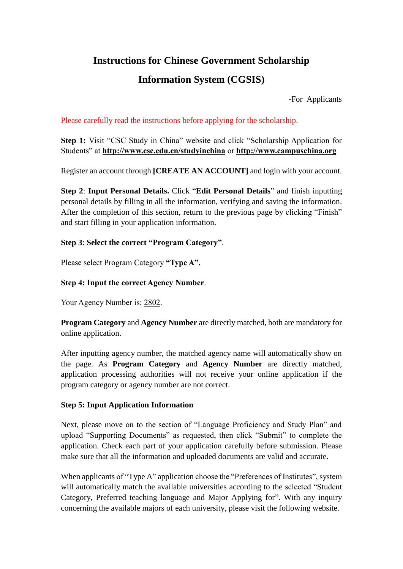## **Instructions for Chinese Government Scholarship**

# **Information System (CGSIS)**

-For Applicants

### Please carefully read the instructions before applying for the scholarship.

**Step 1:** Visit "CSC Study in China" website and click "Scholarship Application for Students" at **http://www.csc.edu.cn/studyinchina** or **http://www.campuschina.org**

Register an account through **[CREATE AN ACCOUNT]** and login with your account.

**Step 2**: **Input Personal Details.** Click "**Edit Personal Details**" and finish inputting personal details by filling in all the information, verifying and saving the information. After the completion of this section, return to the previous page by clicking "Finish" and start filling in your application information.

### **Step 3**: **Select the correct "Program Category"**.

Please select Program Category **"Type A".**

### **Step 4: Input the correct Agency Number**.

Your Agency Number is: 2802.

**Program Category** and **Agency Number** are directly matched, both are mandatory for online application.

After inputting agency number, the matched agency name will automatically show on the page. As **Program Category** and **Agency Number** are directly matched, application processing authorities will not receive your online application if the program category or agency number are not correct.

#### **Step 5: Input Application Information**

Next, please move on to the section of "Language Proficiency and Study Plan" and upload "Supporting Documents" as requested, then click "Submit" to complete the application. Check each part of your application carefully before submission. Please make sure that all the information and uploaded documents are valid and accurate.

When applicants of "Type A" application choose the "Preferences of Institutes", system will automatically match the available universities according to the selected "Student" Category, Preferred teaching language and Major Applying for". With any inquiry concerning the available majors of each university, please visit the following website.